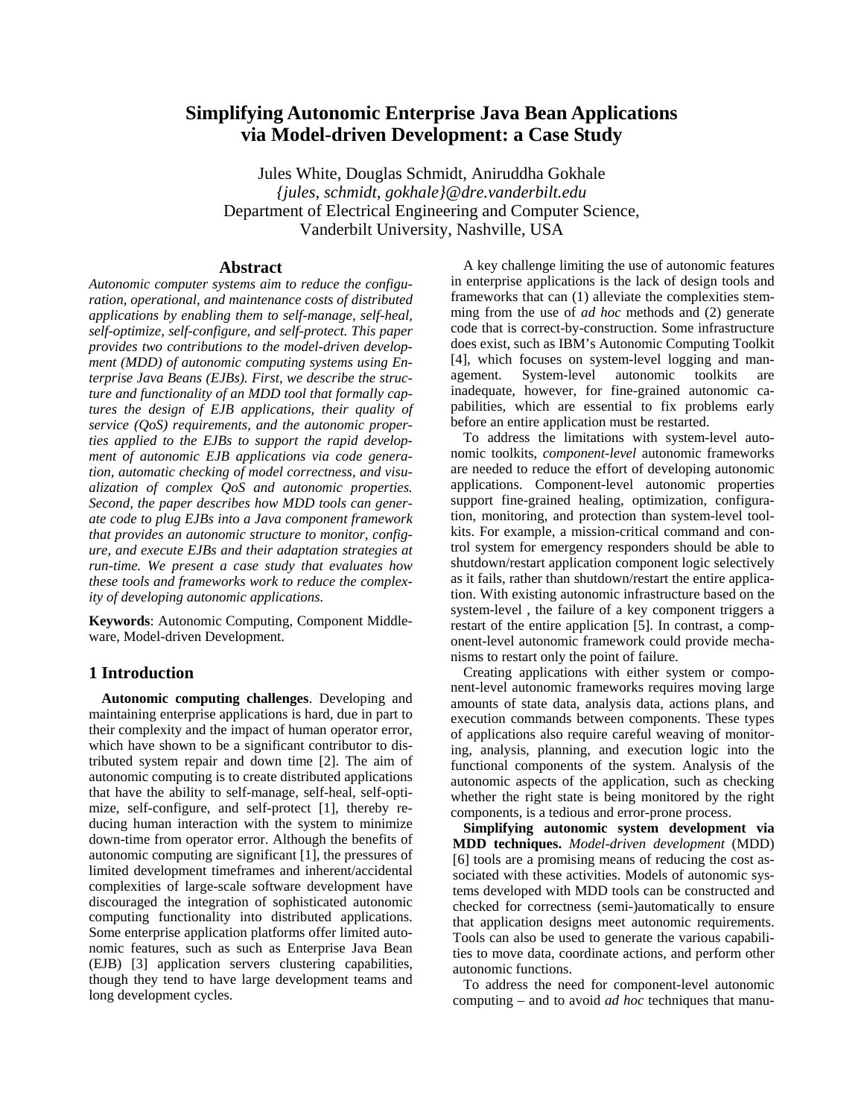# **Simplifying Autonomic Enterprise Java Bean Applications via Model-driven Development: a Case Study**

Jules White, Douglas Schmidt, Aniruddha Gokhale *{jules, schmidt, gokhale}@dre.vanderbilt.edu*  Department of Electrical Engineering and Computer Science, Vanderbilt University, Nashville, USA

#### **Abstract**

*Autonomic computer systems aim to reduce the configuration, operational, and maintenance costs of distributed applications by enabling them to self-manage, self-heal, self-optimize, self-configure, and self-protect. This paper provides two contributions to the model-driven development (MDD) of autonomic computing systems using Enterprise Java Beans (EJBs). First, we describe the structure and functionality of an MDD tool that formally captures the design of EJB applications, their quality of service (QoS) requirements, and the autonomic properties applied to the EJBs to support the rapid development of autonomic EJB applications via code generation, automatic checking of model correctness, and visualization of complex QoS and autonomic properties. Second, the paper describes how MDD tools can generate code to plug EJBs into a Java component framework that provides an autonomic structure to monitor, configure, and execute EJBs and their adaptation strategies at run-time. We present a case study that evaluates how these tools and frameworks work to reduce the complexity of developing autonomic applications.* 

**Keywords**: Autonomic Computing, Component Middleware, Model-driven Development.

#### **1 Introduction**

**Autonomic computing challenges**. Developing and maintaining enterprise applications is hard, due in part to their complexity and the impact of human operator error, which have shown to be a significant contributor to distributed system repair and down time [2]. The aim of autonomic computing is to create distributed applications that have the ability to self-manage, self-heal, self-optimize, self-configure, and self-protect [1], thereby reducing human interaction with the system to minimize down-time from operator error. Although the benefits of autonomic computing are significant [1], the pressures of limited development timeframes and inherent/accidental complexities of large-scale software development have discouraged the integration of sophisticated autonomic computing functionality into distributed applications. Some enterprise application platforms offer limited autonomic features, such as such as Enterprise Java Bean (EJB) [3] application servers clustering capabilities, though they tend to have large development teams and long development cycles.

A key challenge limiting the use of autonomic features in enterprise applications is the lack of design tools and frameworks that can (1) alleviate the complexities stemming from the use of *ad hoc* methods and (2) generate code that is correct-by-construction. Some infrastructure does exist, such as IBM's Autonomic Computing Toolkit [4], which focuses on system-level logging and management. System-level autonomic toolkits are inadequate, however, for fine-grained autonomic capabilities, which are essential to fix problems early before an entire application must be restarted.

To address the limitations with system-level autonomic toolkits, *component-level* autonomic frameworks are needed to reduce the effort of developing autonomic applications. Component-level autonomic properties support fine-grained healing, optimization, configuration, monitoring, and protection than system-level toolkits. For example, a mission-critical command and control system for emergency responders should be able to shutdown/restart application component logic selectively as it fails, rather than shutdown/restart the entire application. With existing autonomic infrastructure based on the system-level , the failure of a key component triggers a restart of the entire application [5]. In contrast, a component-level autonomic framework could provide mechanisms to restart only the point of failure.

Creating applications with either system or component-level autonomic frameworks requires moving large amounts of state data, analysis data, actions plans, and execution commands between components. These types of applications also require careful weaving of monitoring, analysis, planning, and execution logic into the functional components of the system. Analysis of the autonomic aspects of the application, such as checking whether the right state is being monitored by the right components, is a tedious and error-prone process.

**Simplifying autonomic system development via MDD techniques.** *Model-driven development* (MDD) [6] tools are a promising means of reducing the cost associated with these activities. Models of autonomic systems developed with MDD tools can be constructed and checked for correctness (semi-)automatically to ensure that application designs meet autonomic requirements. Tools can also be used to generate the various capabilities to move data, coordinate actions, and perform other autonomic functions.

To address the need for component-level autonomic computing – and to avoid *ad hoc* techniques that manu-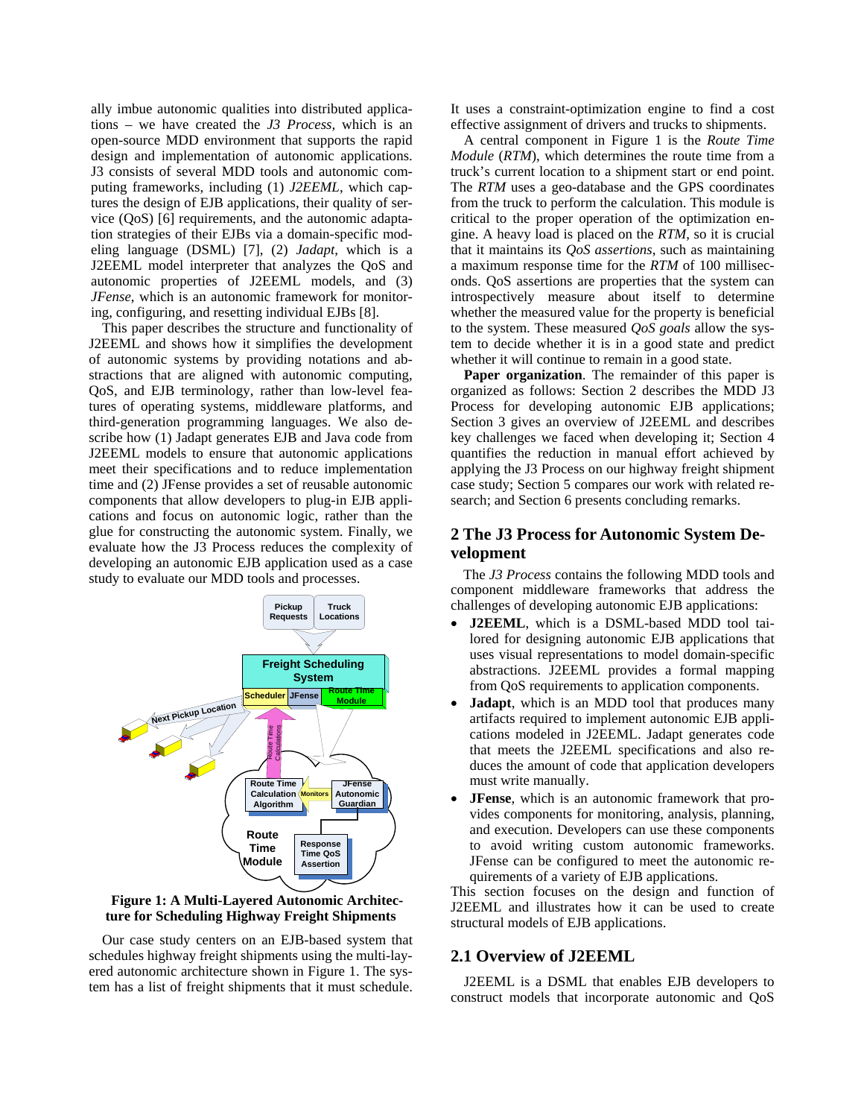ally imbue autonomic qualities into distributed applications – we have created the *J3 Process,* which is an open-source MDD environment that supports the rapid design and implementation of autonomic applications. J3 consists of several MDD tools and autonomic computing frameworks, including (1) *J2EEML*, which captures the design of EJB applications, their quality of service (QoS) [6] requirements, and the autonomic adaptation strategies of their EJBs via a domain-specific modeling language (DSML) [7], (2) *Jadapt*, which is a J2EEML model interpreter that analyzes the QoS and autonomic properties of J2EEML models, and (3) *JFense*, which is an autonomic framework for monitoring, configuring, and resetting individual EJBs [8].

This paper describes the structure and functionality of J2EEML and shows how it simplifies the development of autonomic systems by providing notations and abstractions that are aligned with autonomic computing, QoS, and EJB terminology, rather than low-level features of operating systems, middleware platforms, and third-generation programming languages. We also describe how (1) Jadapt generates EJB and Java code from J2EEML models to ensure that autonomic applications meet their specifications and to reduce implementation time and (2) JFense provides a set of reusable autonomic components that allow developers to plug-in EJB applications and focus on autonomic logic, rather than the glue for constructing the autonomic system. Finally, we evaluate how the J3 Process reduces the complexity of developing an autonomic EJB application used as a case study to evaluate our MDD tools and processes.



**Figure 1: A Multi-Layered Autonomic Architecture for Scheduling Highway Freight Shipments**

Our case study centers on an EJB-based system that schedules highway freight shipments using the multi-layered autonomic architecture shown in Figure 1. The system has a list of freight shipments that it must schedule.

It uses a constraint-optimization engine to find a cost effective assignment of drivers and trucks to shipments.

A central component in Figure 1 is the *Route Time Module* (*RTM*), which determines the route time from a truck's current location to a shipment start or end point. The *RTM* uses a geo-database and the GPS coordinates from the truck to perform the calculation. This module is critical to the proper operation of the optimization engine. A heavy load is placed on the *RTM*, so it is crucial that it maintains its *QoS assertions*, such as maintaining a maximum response time for the *RTM* of 100 milliseconds. QoS assertions are properties that the system can introspectively measure about itself to determine whether the measured value for the property is beneficial to the system. These measured *QoS goals* allow the system to decide whether it is in a good state and predict whether it will continue to remain in a good state.

**Paper organization**. The remainder of this paper is organized as follows: Section 2 describes the MDD J3 Process for developing autonomic EJB applications; Section 3 gives an overview of J2EEML and describes key challenges we faced when developing it; Section 4 quantifies the reduction in manual effort achieved by applying the J3 Process on our highway freight shipment case study; Section 5 compares our work with related research; and Section 6 presents concluding remarks.

## **2 The J3 Process for Autonomic System Development**

The *J3 Process* contains the following MDD tools and component middleware frameworks that address the challenges of developing autonomic EJB applications:

- **J2EEML**, which is a DSML-based MDD tool tailored for designing autonomic EJB applications that uses visual representations to model domain-specific abstractions. J2EEML provides a formal mapping from QoS requirements to application components.
- **Jadapt**, which is an MDD tool that produces many artifacts required to implement autonomic EJB applications modeled in J2EEML. Jadapt generates code that meets the J2EEML specifications and also reduces the amount of code that application developers must write manually.
- **JFense**, which is an autonomic framework that provides components for monitoring, analysis, planning, and execution. Developers can use these components to avoid writing custom autonomic frameworks. JFense can be configured to meet the autonomic requirements of a variety of EJB applications.

This section focuses on the design and function of J2EEML and illustrates how it can be used to create structural models of EJB applications.

### **2.1 Overview of J2EEML**

J2EEML is a DSML that enables EJB developers to construct models that incorporate autonomic and QoS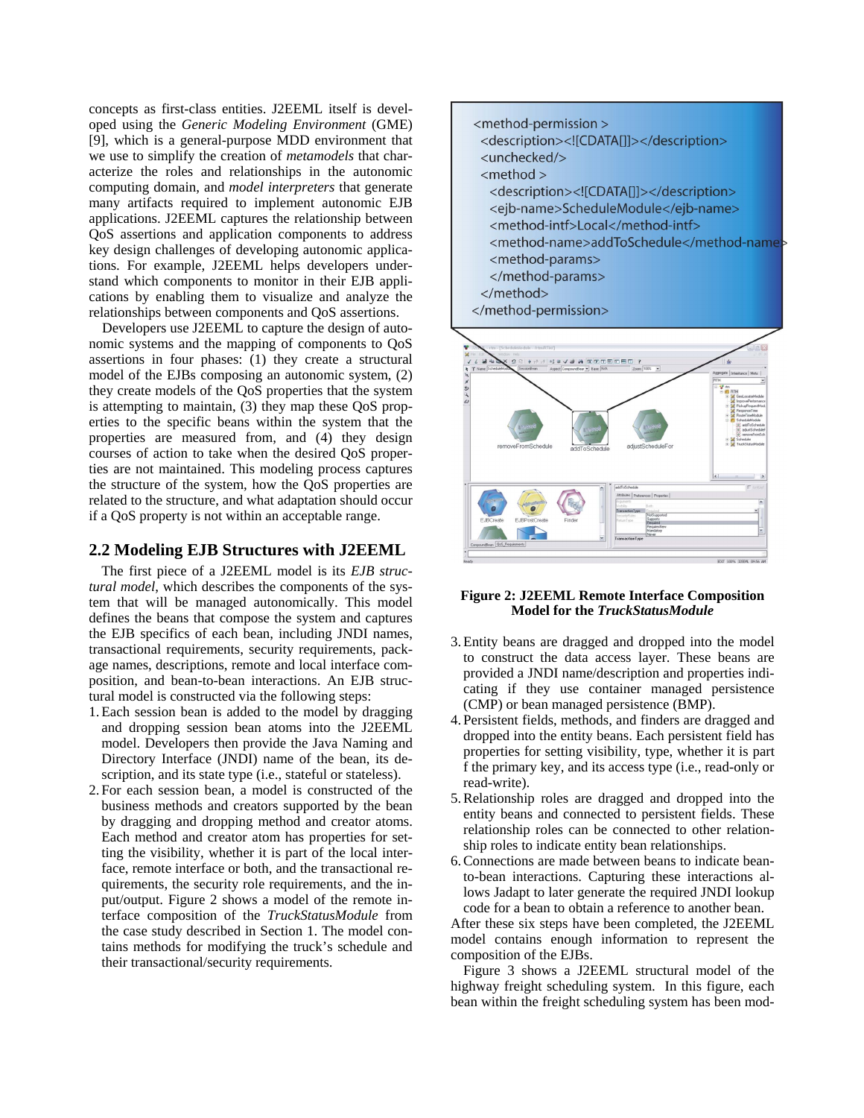concepts as first-class entities. J2EEML itself is developed using the *Generic Modeling Environment* (GME) [9], which is a general-purpose MDD environment that we use to simplify the creation of *metamodels* that characterize the roles and relationships in the autonomic computing domain, and *model interpreters* that generate many artifacts required to implement autonomic EJB applications. J2EEML captures the relationship between QoS assertions and application components to address key design challenges of developing autonomic applications. For example, J2EEML helps developers understand which components to monitor in their EJB applications by enabling them to visualize and analyze the relationships between components and QoS assertions.

Developers use J2EEML to capture the design of autonomic systems and the mapping of components to QoS assertions in four phases: (1) they create a structural model of the EJBs composing an autonomic system, (2) they create models of the QoS properties that the system is attempting to maintain, (3) they map these QoS properties to the specific beans within the system that the properties are measured from, and (4) they design courses of action to take when the desired QoS properties are not maintained. This modeling process captures the structure of the system, how the QoS properties are related to the structure, and what adaptation should occur if a QoS property is not within an acceptable range.

### **2.2 Modeling EJB Structures with J2EEML**

The first piece of a J2EEML model is its *EJB structural model*, which describes the components of the system that will be managed autonomically. This model defines the beans that compose the system and captures the EJB specifics of each bean, including JNDI names, transactional requirements, security requirements, package names, descriptions, remote and local interface composition, and bean-to-bean interactions. An EJB structural model is constructed via the following steps:

- 1.Each session bean is added to the model by dragging and dropping session bean atoms into the J2EEML model. Developers then provide the Java Naming and Directory Interface (JNDI) name of the bean, its description, and its state type (i.e., stateful or stateless).
- 2. For each session bean, a model is constructed of the business methods and creators supported by the bean by dragging and dropping method and creator atoms. Each method and creator atom has properties for setting the visibility, whether it is part of the local interface, remote interface or both, and the transactional requirements, the security role requirements, and the input/output. Figure 2 shows a model of the remote interface composition of the *TruckStatusModule* from the case study described in Section 1. The model contains methods for modifying the truck's schedule and their transactional/security requirements.



#### **Figure 2: J2EEML Remote Interface Composition Model for the** *TruckStatusModule*

- 3. Entity beans are dragged and dropped into the model to construct the data access layer. These beans are provided a JNDI name/description and properties indicating if they use container managed persistence (CMP) or bean managed persistence (BMP).
- 4. Persistent fields, methods, and finders are dragged and dropped into the entity beans. Each persistent field has properties for setting visibility, type, whether it is part f the primary key, and its access type (i.e., read-only or read-write).
- 5.Relationship roles are dragged and dropped into the entity beans and connected to persistent fields. These relationship roles can be connected to other relationship roles to indicate entity bean relationships.
- 6.Connections are made between beans to indicate beanto-bean interactions. Capturing these interactions allows Jadapt to later generate the required JNDI lookup code for a bean to obtain a reference to another bean.

After these six steps have been completed, the J2EEML model contains enough information to represent the composition of the EJBs.

Figure 3 shows a J2EEML structural model of the highway freight scheduling system. In this figure, each bean within the freight scheduling system has been mod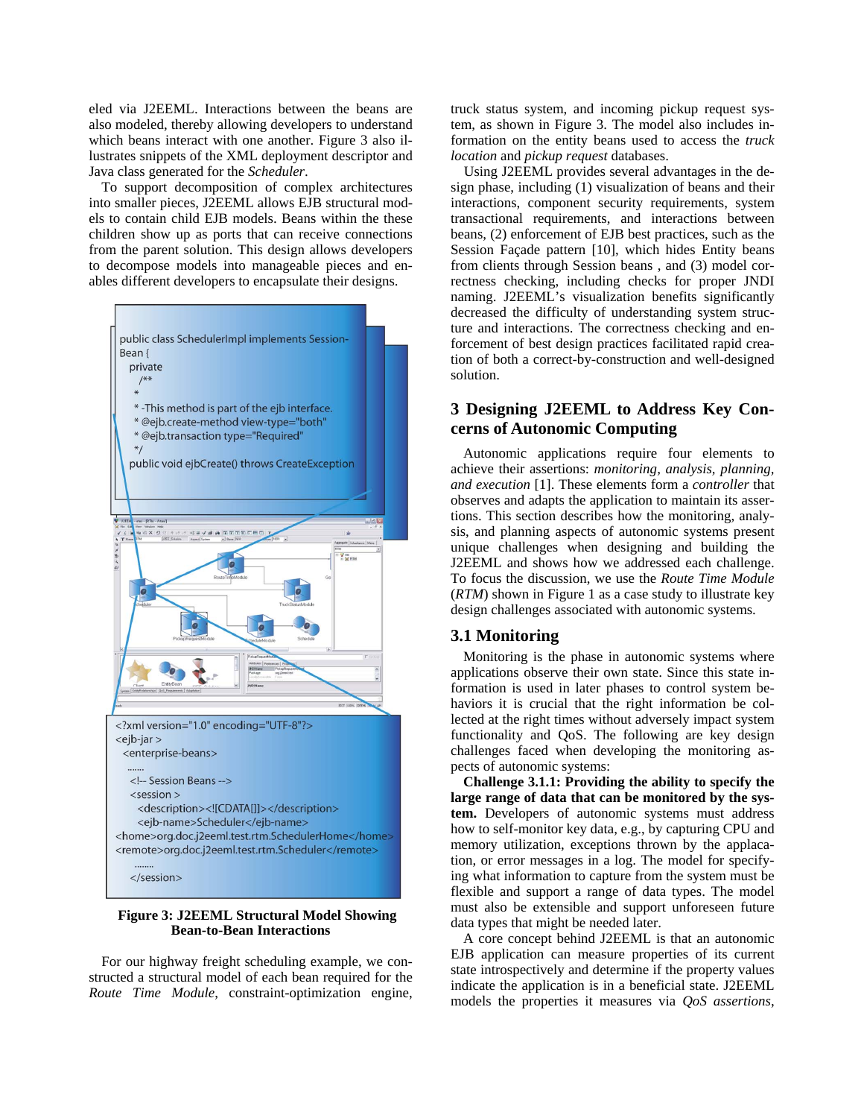eled via J2EEML. Interactions between the beans are also modeled, thereby allowing developers to understand which beans interact with one another. Figure 3 also illustrates snippets of the XML deployment descriptor and Java class generated for the *Scheduler*.

To support decomposition of complex architectures into smaller pieces, J2EEML allows EJB structural models to contain child EJB models. Beans within the these children show up as ports that can receive connections from the parent solution. This design allows developers to decompose models into manageable pieces and enables different developers to encapsulate their designs.



#### **Figure 3: J2EEML Structural Model Showing Bean-to-Bean Interactions**

For our highway freight scheduling example, we constructed a structural model of each bean required for the *Route Time Module*, constraint-optimization engine, truck status system, and incoming pickup request system, as shown in Figure 3. The model also includes information on the entity beans used to access the *truck location* and *pickup request* databases.

Using J2EEML provides several advantages in the design phase, including (1) visualization of beans and their interactions, component security requirements, system transactional requirements, and interactions between beans, (2) enforcement of EJB best practices, such as the Session Façade pattern [10], which hides Entity beans from clients through Session beans , and (3) model correctness checking, including checks for proper JNDI naming. J2EEML's visualization benefits significantly decreased the difficulty of understanding system structure and interactions. The correctness checking and enforcement of best design practices facilitated rapid creation of both a correct-by-construction and well-designed solution.

### **3 Designing J2EEML to Address Key Concerns of Autonomic Computing**

Autonomic applications require four elements to achieve their assertions: *monitoring, analysis, planning, and execution* [1]. These elements form a *controller* that observes and adapts the application to maintain its assertions. This section describes how the monitoring, analysis, and planning aspects of autonomic systems present unique challenges when designing and building the J2EEML and shows how we addressed each challenge. To focus the discussion, we use the *Route Time Module* (*RTM*) shown in Figure 1 as a case study to illustrate key design challenges associated with autonomic systems.

### **3.1 Monitoring**

Monitoring is the phase in autonomic systems where applications observe their own state. Since this state information is used in later phases to control system behaviors it is crucial that the right information be collected at the right times without adversely impact system functionality and QoS. The following are key design challenges faced when developing the monitoring aspects of autonomic systems:

**Challenge 3.1.1: Providing the ability to specify the large range of data that can be monitored by the system.** Developers of autonomic systems must address how to self-monitor key data, e.g., by capturing CPU and memory utilization, exceptions thrown by the applacation, or error messages in a log. The model for specifying what information to capture from the system must be flexible and support a range of data types. The model must also be extensible and support unforeseen future data types that might be needed later.

A core concept behind J2EEML is that an autonomic EJB application can measure properties of its current state introspectively and determine if the property values indicate the application is in a beneficial state. J2EEML models the properties it measures via *QoS assertions*,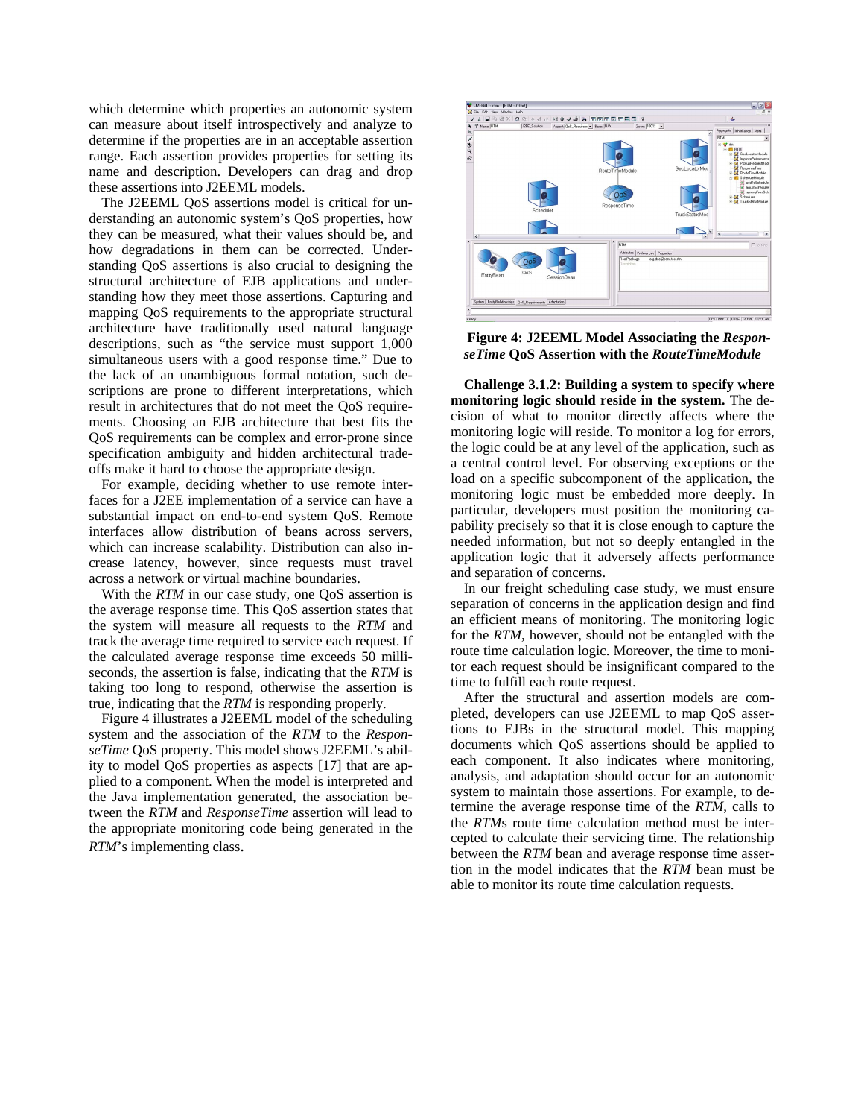which determine which properties an autonomic system can measure about itself introspectively and analyze to determine if the properties are in an acceptable assertion range. Each assertion provides properties for setting its name and description. Developers can drag and drop these assertions into J2EEML models.

The J2EEML QoS assertions model is critical for understanding an autonomic system's QoS properties, how they can be measured, what their values should be, and how degradations in them can be corrected. Understanding QoS assertions is also crucial to designing the structural architecture of EJB applications and understanding how they meet those assertions. Capturing and mapping QoS requirements to the appropriate structural architecture have traditionally used natural language descriptions, such as "the service must support 1,000 simultaneous users with a good response time." Due to the lack of an unambiguous formal notation, such descriptions are prone to different interpretations, which result in architectures that do not meet the QoS requirements. Choosing an EJB architecture that best fits the QoS requirements can be complex and error-prone since specification ambiguity and hidden architectural tradeoffs make it hard to choose the appropriate design.

For example, deciding whether to use remote interfaces for a J2EE implementation of a service can have a substantial impact on end-to-end system QoS. Remote interfaces allow distribution of beans across servers, which can increase scalability. Distribution can also increase latency, however, since requests must travel across a network or virtual machine boundaries.

With the *RTM* in our case study, one QoS assertion is the average response time. This QoS assertion states that the system will measure all requests to the *RTM* and track the average time required to service each request. If the calculated average response time exceeds 50 milliseconds, the assertion is false, indicating that the *RTM* is taking too long to respond, otherwise the assertion is true, indicating that the *RTM* is responding properly.

Figure 4 illustrates a J2EEML model of the scheduling system and the association of the *RTM* to the *ResponseTime* QoS property. This model shows J2EEML's ability to model QoS properties as aspects [17] that are applied to a component. When the model is interpreted and the Java implementation generated, the association between the *RTM* and *ResponseTime* assertion will lead to the appropriate monitoring code being generated in the *RTM*'s implementing class.



**Figure 4: J2EEML Model Associating the** *ResponseTime* **QoS Assertion with the** *RouteTimeModule*

**Challenge 3.1.2: Building a system to specify where monitoring logic should reside in the system.** The decision of what to monitor directly affects where the monitoring logic will reside. To monitor a log for errors, the logic could be at any level of the application, such as a central control level. For observing exceptions or the load on a specific subcomponent of the application, the monitoring logic must be embedded more deeply. In particular, developers must position the monitoring capability precisely so that it is close enough to capture the needed information, but not so deeply entangled in the application logic that it adversely affects performance and separation of concerns.

In our freight scheduling case study, we must ensure separation of concerns in the application design and find an efficient means of monitoring. The monitoring logic for the *RTM*, however, should not be entangled with the route time calculation logic. Moreover, the time to monitor each request should be insignificant compared to the time to fulfill each route request.

After the structural and assertion models are completed, developers can use J2EEML to map QoS assertions to EJBs in the structural model. This mapping documents which QoS assertions should be applied to each component. It also indicates where monitoring, analysis, and adaptation should occur for an autonomic system to maintain those assertions. For example, to determine the average response time of the *RTM*, calls to the *RTM*s route time calculation method must be intercepted to calculate their servicing time. The relationship between the *RTM* bean and average response time assertion in the model indicates that the *RTM* bean must be able to monitor its route time calculation requests.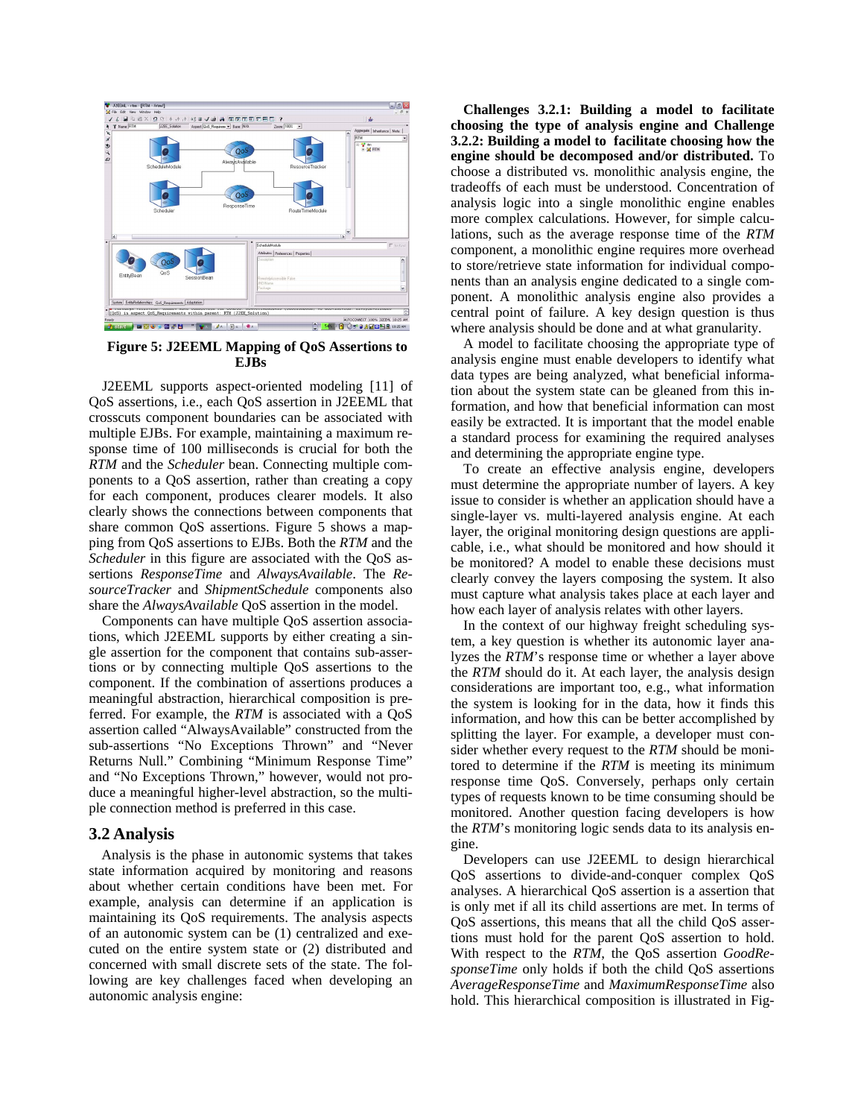

**Figure 5: J2EEML Mapping of QoS Assertions to EJBs** 

J2EEML supports aspect-oriented modeling [11] of QoS assertions, i.e., each QoS assertion in J2EEML that crosscuts component boundaries can be associated with multiple EJBs. For example, maintaining a maximum response time of 100 milliseconds is crucial for both the *RTM* and the *Scheduler* bean. Connecting multiple components to a QoS assertion, rather than creating a copy for each component, produces clearer models. It also clearly shows the connections between components that share common QoS assertions. Figure 5 shows a mapping from QoS assertions to EJBs. Both the *RTM* and the *Scheduler* in this figure are associated with the QoS assertions *ResponseTime* and *AlwaysAvailable*. The *ResourceTracker* and *ShipmentSchedule* components also share the *AlwaysAvailable* QoS assertion in the model.

Components can have multiple QoS assertion associations, which J2EEML supports by either creating a single assertion for the component that contains sub-assertions or by connecting multiple QoS assertions to the component. If the combination of assertions produces a meaningful abstraction, hierarchical composition is preferred. For example, the *RTM* is associated with a QoS assertion called "AlwaysAvailable" constructed from the sub-assertions "No Exceptions Thrown" and "Never Returns Null." Combining "Minimum Response Time" and "No Exceptions Thrown," however, would not produce a meaningful higher-level abstraction, so the multiple connection method is preferred in this case.

#### **3.2 Analysis**

Analysis is the phase in autonomic systems that takes state information acquired by monitoring and reasons about whether certain conditions have been met. For example, analysis can determine if an application is maintaining its QoS requirements. The analysis aspects of an autonomic system can be (1) centralized and executed on the entire system state or (2) distributed and concerned with small discrete sets of the state. The following are key challenges faced when developing an autonomic analysis engine:

**Challenges 3.2.1: Building a model to facilitate choosing the type of analysis engine and Challenge 3.2.2: Building a model to facilitate choosing how the engine should be decomposed and/or distributed.** To choose a distributed vs. monolithic analysis engine, the tradeoffs of each must be understood. Concentration of analysis logic into a single monolithic engine enables more complex calculations. However, for simple calculations, such as the average response time of the *RTM* component, a monolithic engine requires more overhead to store/retrieve state information for individual components than an analysis engine dedicated to a single component. A monolithic analysis engine also provides a central point of failure. A key design question is thus where analysis should be done and at what granularity.

A model to facilitate choosing the appropriate type of analysis engine must enable developers to identify what data types are being analyzed, what beneficial information about the system state can be gleaned from this information, and how that beneficial information can most easily be extracted. It is important that the model enable a standard process for examining the required analyses and determining the appropriate engine type.

To create an effective analysis engine, developers must determine the appropriate number of layers. A key issue to consider is whether an application should have a single-layer vs. multi-layered analysis engine. At each layer, the original monitoring design questions are applicable, i.e., what should be monitored and how should it be monitored? A model to enable these decisions must clearly convey the layers composing the system. It also must capture what analysis takes place at each layer and how each layer of analysis relates with other layers.

In the context of our highway freight scheduling system, a key question is whether its autonomic layer analyzes the *RTM*'s response time or whether a layer above the *RTM* should do it. At each layer, the analysis design considerations are important too, e.g., what information the system is looking for in the data, how it finds this information, and how this can be better accomplished by splitting the layer. For example, a developer must consider whether every request to the *RTM* should be monitored to determine if the *RTM* is meeting its minimum response time QoS. Conversely, perhaps only certain types of requests known to be time consuming should be monitored. Another question facing developers is how the *RTM*'s monitoring logic sends data to its analysis engine.

Developers can use J2EEML to design hierarchical QoS assertions to divide-and-conquer complex QoS analyses. A hierarchical QoS assertion is a assertion that is only met if all its child assertions are met. In terms of QoS assertions, this means that all the child QoS assertions must hold for the parent QoS assertion to hold. With respect to the *RTM*, the QoS assertion *GoodResponseTime* only holds if both the child QoS assertions *AverageResponseTime* and *MaximumResponseTime* also hold. This hierarchical composition is illustrated in Fig-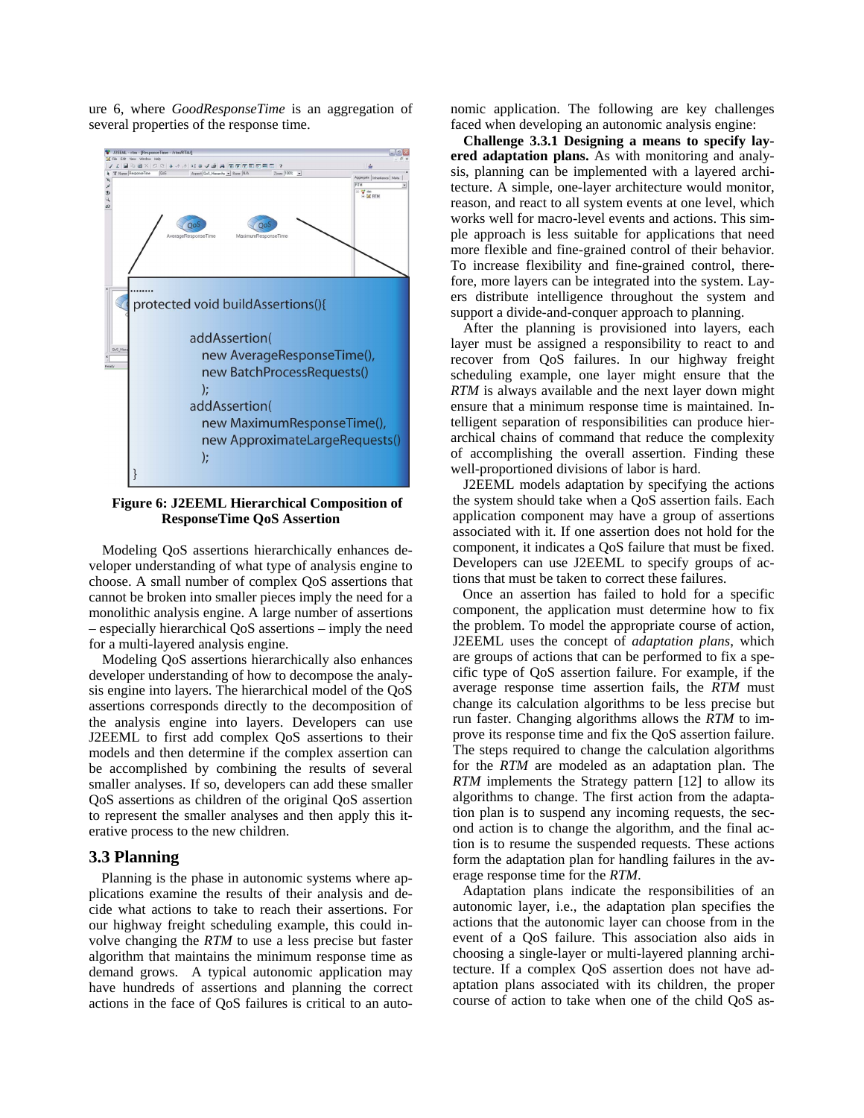ure 6, where *GoodResponseTime* is an aggregation of several properties of the response time.



**Figure 6: J2EEML Hierarchical Composition of ResponseTime QoS Assertion** 

Modeling QoS assertions hierarchically enhances developer understanding of what type of analysis engine to choose. A small number of complex QoS assertions that cannot be broken into smaller pieces imply the need for a monolithic analysis engine. A large number of assertions – especially hierarchical QoS assertions – imply the need for a multi-layered analysis engine.

Modeling QoS assertions hierarchically also enhances developer understanding of how to decompose the analysis engine into layers. The hierarchical model of the QoS assertions corresponds directly to the decomposition of the analysis engine into layers. Developers can use J2EEML to first add complex QoS assertions to their models and then determine if the complex assertion can be accomplished by combining the results of several smaller analyses. If so, developers can add these smaller QoS assertions as children of the original QoS assertion to represent the smaller analyses and then apply this iterative process to the new children.

#### **3.3 Planning**

Planning is the phase in autonomic systems where applications examine the results of their analysis and decide what actions to take to reach their assertions. For our highway freight scheduling example, this could involve changing the *RTM* to use a less precise but faster algorithm that maintains the minimum response time as demand grows. A typical autonomic application may have hundreds of assertions and planning the correct actions in the face of QoS failures is critical to an autonomic application. The following are key challenges faced when developing an autonomic analysis engine:

**Challenge 3.3.1 Designing a means to specify layered adaptation plans.** As with monitoring and analysis, planning can be implemented with a layered architecture. A simple, one-layer architecture would monitor, reason, and react to all system events at one level, which works well for macro-level events and actions. This simple approach is less suitable for applications that need more flexible and fine-grained control of their behavior. To increase flexibility and fine-grained control, therefore, more layers can be integrated into the system. Layers distribute intelligence throughout the system and support a divide-and-conquer approach to planning.

After the planning is provisioned into layers, each layer must be assigned a responsibility to react to and recover from QoS failures. In our highway freight scheduling example, one layer might ensure that the *RTM* is always available and the next layer down might ensure that a minimum response time is maintained. Intelligent separation of responsibilities can produce hierarchical chains of command that reduce the complexity of accomplishing the overall assertion. Finding these well-proportioned divisions of labor is hard.

J2EEML models adaptation by specifying the actions the system should take when a QoS assertion fails. Each application component may have a group of assertions associated with it. If one assertion does not hold for the component, it indicates a QoS failure that must be fixed. Developers can use J2EEML to specify groups of actions that must be taken to correct these failures.

Once an assertion has failed to hold for a specific component, the application must determine how to fix the problem. To model the appropriate course of action, J2EEML uses the concept of *adaptation plans*, which are groups of actions that can be performed to fix a specific type of QoS assertion failure. For example, if the average response time assertion fails, the *RTM* must change its calculation algorithms to be less precise but run faster. Changing algorithms allows the *RTM* to improve its response time and fix the QoS assertion failure. The steps required to change the calculation algorithms for the *RTM* are modeled as an adaptation plan. The *RTM* implements the Strategy pattern [12] to allow its algorithms to change. The first action from the adaptation plan is to suspend any incoming requests, the second action is to change the algorithm, and the final action is to resume the suspended requests. These actions form the adaptation plan for handling failures in the average response time for the *RTM*.

Adaptation plans indicate the responsibilities of an autonomic layer, i.e., the adaptation plan specifies the actions that the autonomic layer can choose from in the event of a QoS failure. This association also aids in choosing a single-layer or multi-layered planning architecture. If a complex QoS assertion does not have adaptation plans associated with its children, the proper course of action to take when one of the child QoS as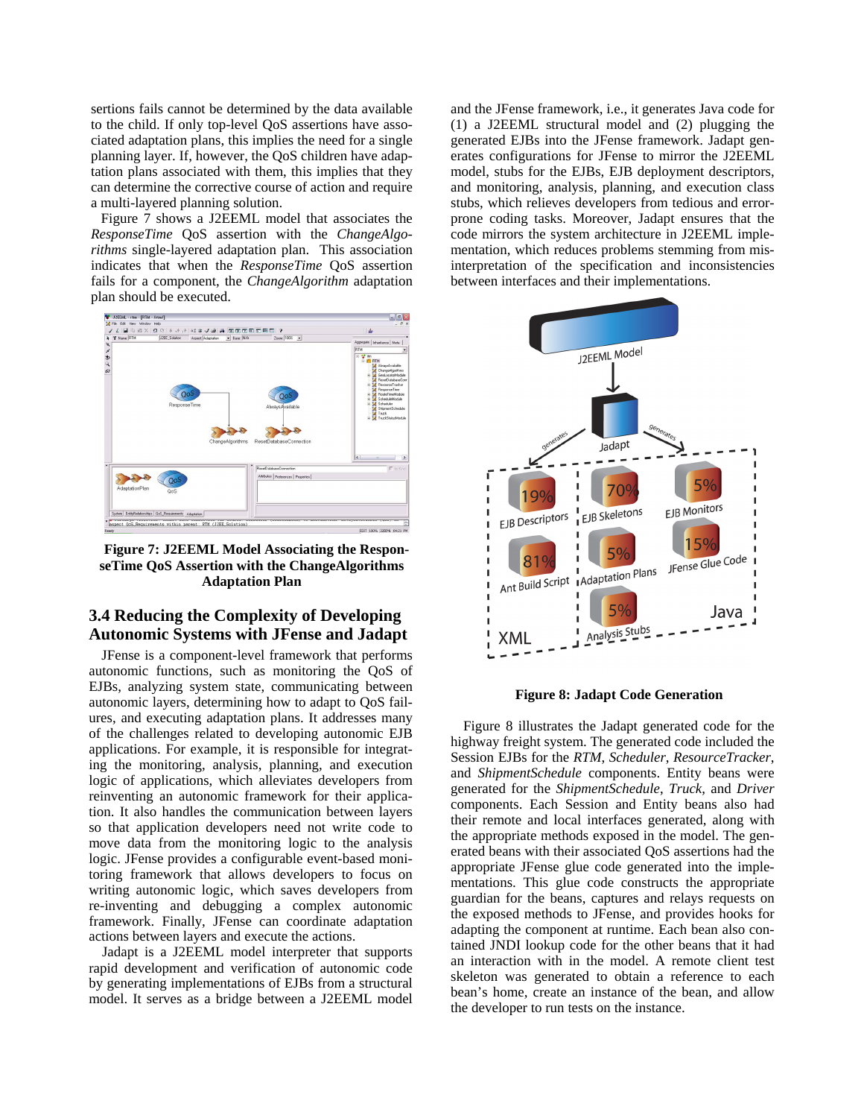sertions fails cannot be determined by the data available to the child. If only top-level QoS assertions have associated adaptation plans, this implies the need for a single planning layer. If, however, the QoS children have adaptation plans associated with them, this implies that they can determine the corrective course of action and require a multi-layered planning solution.

Figure 7 shows a J2EEML model that associates the *ResponseTime* QoS assertion with the *ChangeAlgorithms* single-layered adaptation plan. This association indicates that when the *ResponseTime* QoS assertion fails for a component, the *ChangeAlgorithm* adaptation plan should be executed.



**Figure 7: J2EEML Model Associating the ResponseTime QoS Assertion with the ChangeAlgorithms Adaptation Plan** 

### **3.4 Reducing the Complexity of Developing Autonomic Systems with JFense and Jadapt**

JFense is a component-level framework that performs autonomic functions, such as monitoring the QoS of EJBs, analyzing system state, communicating between autonomic layers, determining how to adapt to QoS failures, and executing adaptation plans. It addresses many of the challenges related to developing autonomic EJB applications. For example, it is responsible for integrating the monitoring, analysis, planning, and execution logic of applications, which alleviates developers from reinventing an autonomic framework for their application. It also handles the communication between layers so that application developers need not write code to move data from the monitoring logic to the analysis logic. JFense provides a configurable event-based monitoring framework that allows developers to focus on writing autonomic logic, which saves developers from re-inventing and debugging a complex autonomic framework. Finally, JFense can coordinate adaptation actions between layers and execute the actions.

Jadapt is a J2EEML model interpreter that supports rapid development and verification of autonomic code by generating implementations of EJBs from a structural model. It serves as a bridge between a J2EEML model and the JFense framework, i.e., it generates Java code for (1) a J2EEML structural model and (2) plugging the generated EJBs into the JFense framework. Jadapt generates configurations for JFense to mirror the J2EEML model, stubs for the EJBs, EJB deployment descriptors, and monitoring, analysis, planning, and execution class stubs, which relieves developers from tedious and errorprone coding tasks. Moreover, Jadapt ensures that the code mirrors the system architecture in J2EEML implementation, which reduces problems stemming from misinterpretation of the specification and inconsistencies between interfaces and their implementations.



**Figure 8: Jadapt Code Generation** 

Figure 8 illustrates the Jadapt generated code for the highway freight system. The generated code included the Session EJBs for the *RTM*, *Scheduler*, *ResourceTracker*, and *ShipmentSchedule* components. Entity beans were generated for the *ShipmentSchedule*, *Truck*, and *Driver* components. Each Session and Entity beans also had their remote and local interfaces generated, along with the appropriate methods exposed in the model. The generated beans with their associated QoS assertions had the appropriate JFense glue code generated into the implementations. This glue code constructs the appropriate guardian for the beans, captures and relays requests on the exposed methods to JFense, and provides hooks for adapting the component at runtime. Each bean also contained JNDI lookup code for the other beans that it had an interaction with in the model. A remote client test skeleton was generated to obtain a reference to each bean's home, create an instance of the bean, and allow the developer to run tests on the instance.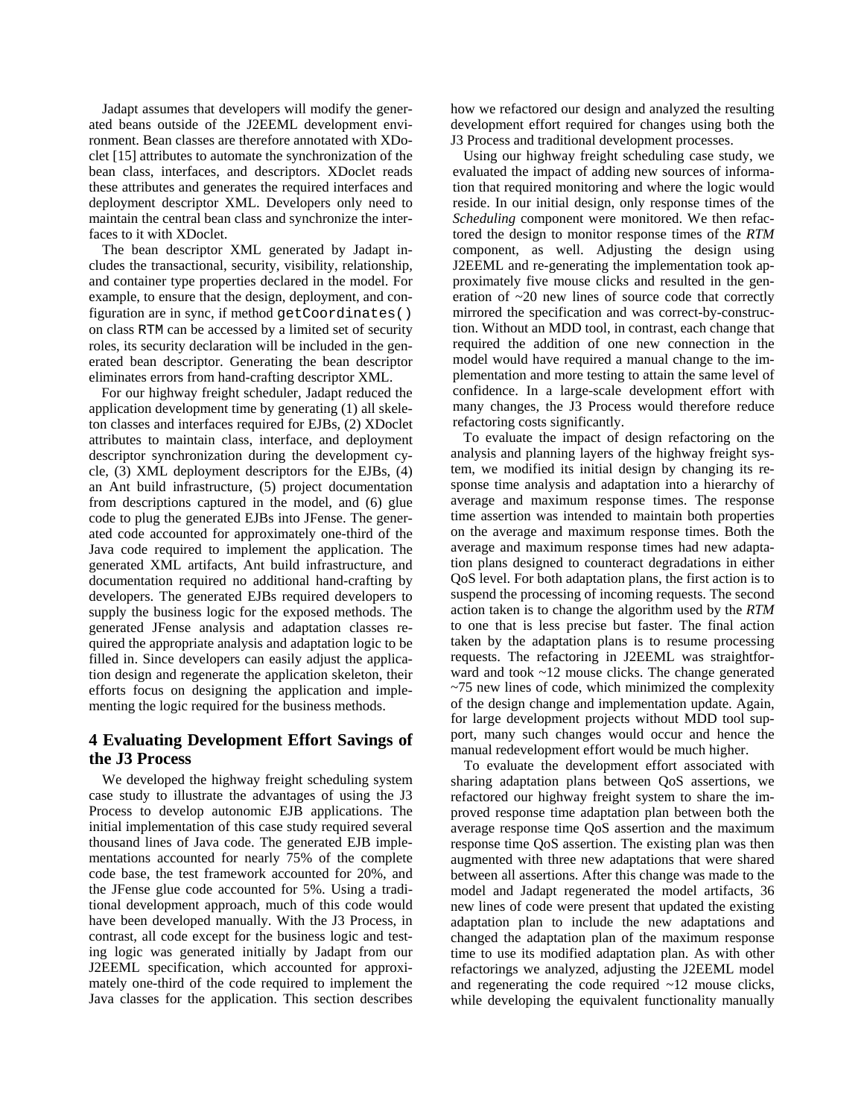Jadapt assumes that developers will modify the generated beans outside of the J2EEML development environment. Bean classes are therefore annotated with XDoclet [15] attributes to automate the synchronization of the bean class, interfaces, and descriptors. XDoclet reads these attributes and generates the required interfaces and deployment descriptor XML. Developers only need to maintain the central bean class and synchronize the interfaces to it with XDoclet.

The bean descriptor XML generated by Jadapt includes the transactional, security, visibility, relationship, and container type properties declared in the model. For example, to ensure that the design, deployment, and configuration are in sync, if method getCoordinates() on class RTM can be accessed by a limited set of security roles, its security declaration will be included in the generated bean descriptor. Generating the bean descriptor eliminates errors from hand-crafting descriptor XML.

For our highway freight scheduler, Jadapt reduced the application development time by generating (1) all skeleton classes and interfaces required for EJBs, (2) XDoclet attributes to maintain class, interface, and deployment descriptor synchronization during the development cycle, (3) XML deployment descriptors for the EJBs, (4) an Ant build infrastructure, (5) project documentation from descriptions captured in the model, and (6) glue code to plug the generated EJBs into JFense. The generated code accounted for approximately one-third of the Java code required to implement the application. The generated XML artifacts, Ant build infrastructure, and documentation required no additional hand-crafting by developers. The generated EJBs required developers to supply the business logic for the exposed methods. The generated JFense analysis and adaptation classes required the appropriate analysis and adaptation logic to be filled in. Since developers can easily adjust the application design and regenerate the application skeleton, their efforts focus on designing the application and implementing the logic required for the business methods.

# **4 Evaluating Development Effort Savings of the J3 Process**

We developed the highway freight scheduling system case study to illustrate the advantages of using the J3 Process to develop autonomic EJB applications. The initial implementation of this case study required several thousand lines of Java code. The generated EJB implementations accounted for nearly 75% of the complete code base, the test framework accounted for 20%, and the JFense glue code accounted for 5%. Using a traditional development approach, much of this code would have been developed manually. With the J3 Process, in contrast, all code except for the business logic and testing logic was generated initially by Jadapt from our J2EEML specification, which accounted for approximately one-third of the code required to implement the Java classes for the application. This section describes how we refactored our design and analyzed the resulting development effort required for changes using both the J3 Process and traditional development processes.

Using our highway freight scheduling case study, we evaluated the impact of adding new sources of information that required monitoring and where the logic would reside. In our initial design, only response times of the *Scheduling* component were monitored. We then refactored the design to monitor response times of the *RTM* component, as well. Adjusting the design using J2EEML and re-generating the implementation took approximately five mouse clicks and resulted in the generation of ~20 new lines of source code that correctly mirrored the specification and was correct-by-construction. Without an MDD tool, in contrast, each change that required the addition of one new connection in the model would have required a manual change to the implementation and more testing to attain the same level of confidence. In a large-scale development effort with many changes, the J3 Process would therefore reduce refactoring costs significantly.

To evaluate the impact of design refactoring on the analysis and planning layers of the highway freight system, we modified its initial design by changing its response time analysis and adaptation into a hierarchy of average and maximum response times. The response time assertion was intended to maintain both properties on the average and maximum response times. Both the average and maximum response times had new adaptation plans designed to counteract degradations in either QoS level. For both adaptation plans, the first action is to suspend the processing of incoming requests. The second action taken is to change the algorithm used by the *RTM* to one that is less precise but faster. The final action taken by the adaptation plans is to resume processing requests. The refactoring in J2EEML was straightforward and took ~12 mouse clicks. The change generated  $\sim$ 75 new lines of code, which minimized the complexity of the design change and implementation update. Again, for large development projects without MDD tool support, many such changes would occur and hence the manual redevelopment effort would be much higher.

To evaluate the development effort associated with sharing adaptation plans between QoS assertions, we refactored our highway freight system to share the improved response time adaptation plan between both the average response time QoS assertion and the maximum response time QoS assertion. The existing plan was then augmented with three new adaptations that were shared between all assertions. After this change was made to the model and Jadapt regenerated the model artifacts, 36 new lines of code were present that updated the existing adaptation plan to include the new adaptations and changed the adaptation plan of the maximum response time to use its modified adaptation plan. As with other refactorings we analyzed, adjusting the J2EEML model and regenerating the code required ~12 mouse clicks, while developing the equivalent functionality manually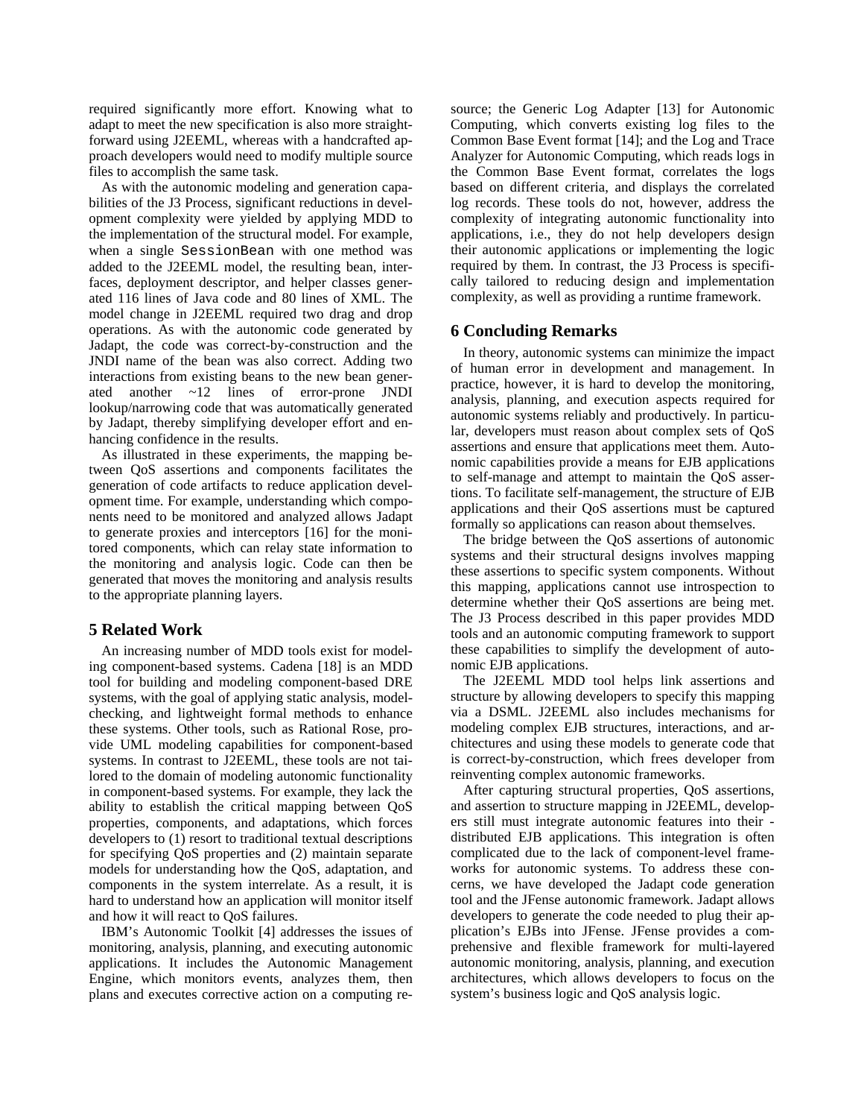required significantly more effort. Knowing what to adapt to meet the new specification is also more straightforward using J2EEML, whereas with a handcrafted approach developers would need to modify multiple source files to accomplish the same task.

As with the autonomic modeling and generation capabilities of the J3 Process, significant reductions in development complexity were yielded by applying MDD to the implementation of the structural model. For example, when a single SessionBean with one method was added to the J2EEML model, the resulting bean, interfaces, deployment descriptor, and helper classes generated 116 lines of Java code and 80 lines of XML. The model change in J2EEML required two drag and drop operations. As with the autonomic code generated by Jadapt, the code was correct-by-construction and the JNDI name of the bean was also correct. Adding two interactions from existing beans to the new bean generated another ~12 lines of error-prone JNDI lookup/narrowing code that was automatically generated by Jadapt, thereby simplifying developer effort and enhancing confidence in the results.

As illustrated in these experiments, the mapping between QoS assertions and components facilitates the generation of code artifacts to reduce application development time. For example, understanding which components need to be monitored and analyzed allows Jadapt to generate proxies and interceptors [16] for the monitored components, which can relay state information to the monitoring and analysis logic. Code can then be generated that moves the monitoring and analysis results to the appropriate planning layers.

### **5 Related Work**

An increasing number of MDD tools exist for modeling component-based systems. Cadena [18] is an MDD tool for building and modeling component-based DRE systems, with the goal of applying static analysis, modelchecking, and lightweight formal methods to enhance these systems. Other tools, such as Rational Rose, provide UML modeling capabilities for component-based systems. In contrast to J2EEML, these tools are not tailored to the domain of modeling autonomic functionality in component-based systems. For example, they lack the ability to establish the critical mapping between QoS properties, components, and adaptations, which forces developers to (1) resort to traditional textual descriptions for specifying QoS properties and (2) maintain separate models for understanding how the QoS, adaptation, and components in the system interrelate. As a result, it is hard to understand how an application will monitor itself and how it will react to QoS failures.

IBM's Autonomic Toolkit [4] addresses the issues of monitoring, analysis, planning, and executing autonomic applications. It includes the Autonomic Management Engine, which monitors events, analyzes them, then plans and executes corrective action on a computing re-

source; the Generic Log Adapter [13] for Autonomic Computing, which converts existing log files to the Common Base Event format [14]; and the Log and Trace Analyzer for Autonomic Computing, which reads logs in the Common Base Event format, correlates the logs based on different criteria, and displays the correlated log records. These tools do not, however, address the complexity of integrating autonomic functionality into applications, i.e., they do not help developers design their autonomic applications or implementing the logic required by them. In contrast, the J3 Process is specifically tailored to reducing design and implementation complexity, as well as providing a runtime framework.

#### **6 Concluding Remarks**

In theory, autonomic systems can minimize the impact of human error in development and management. In practice, however, it is hard to develop the monitoring, analysis, planning, and execution aspects required for autonomic systems reliably and productively. In particular, developers must reason about complex sets of QoS assertions and ensure that applications meet them. Autonomic capabilities provide a means for EJB applications to self-manage and attempt to maintain the QoS assertions. To facilitate self-management, the structure of EJB applications and their QoS assertions must be captured formally so applications can reason about themselves.

The bridge between the QoS assertions of autonomic systems and their structural designs involves mapping these assertions to specific system components. Without this mapping, applications cannot use introspection to determine whether their QoS assertions are being met. The J3 Process described in this paper provides MDD tools and an autonomic computing framework to support these capabilities to simplify the development of autonomic EJB applications.

The J2EEML MDD tool helps link assertions and structure by allowing developers to specify this mapping via a DSML. J2EEML also includes mechanisms for modeling complex EJB structures, interactions, and architectures and using these models to generate code that is correct-by-construction, which frees developer from reinventing complex autonomic frameworks.

After capturing structural properties, QoS assertions, and assertion to structure mapping in J2EEML, developers still must integrate autonomic features into their distributed EJB applications. This integration is often complicated due to the lack of component-level frameworks for autonomic systems. To address these concerns, we have developed the Jadapt code generation tool and the JFense autonomic framework. Jadapt allows developers to generate the code needed to plug their application's EJBs into JFense. JFense provides a comprehensive and flexible framework for multi-layered autonomic monitoring, analysis, planning, and execution architectures, which allows developers to focus on the system's business logic and QoS analysis logic.